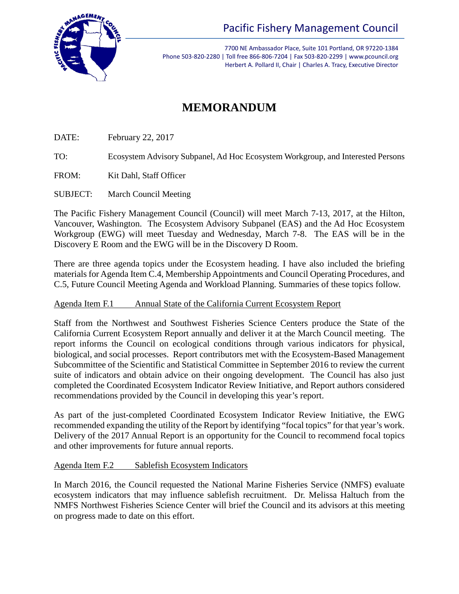

Pacific Fishery Management Council

7700 NE Ambassador Place, Suite 101 Portland, OR 97220-1384 Phone 503-820-2280 | Toll free 866-806-7204 | Fax 503-820-2299 | www.pcouncil.org Herbert A. Pollard II, Chair | Charles A. Tracy, Executive Director

# **MEMORANDUM**

DATE: February 22, 2017

TO: Ecosystem Advisory Subpanel, Ad Hoc Ecosystem Workgroup, and Interested Persons

FROM: Kit Dahl, Staff Officer

SUBJECT: March Council Meeting

The Pacific Fishery Management Council (Council) will meet March 7-13, 2017, at the Hilton, Vancouver, Washington. The Ecosystem Advisory Subpanel (EAS) and the Ad Hoc Ecosystem Workgroup (EWG) will meet Tuesday and Wednesday, March 7-8. The EAS will be in the Discovery E Room and the EWG will be in the Discovery D Room.

There are three agenda topics under the Ecosystem heading. I have also included the briefing materials for Agenda Item C.4, Membership Appointments and Council Operating Procedures, and C.5, Future Council Meeting Agenda and Workload Planning. Summaries of these topics follow.

## Agenda Item F.1 Annual State of the California Current Ecosystem Report

Staff from the Northwest and Southwest Fisheries Science Centers produce the State of the California Current Ecosystem Report annually and deliver it at the March Council meeting. The report informs the Council on ecological conditions through various indicators for physical, biological, and social processes. Report contributors met with the Ecosystem-Based Management Subcommittee of the Scientific and Statistical Committee in September 2016 to review the current suite of indicators and obtain advice on their ongoing development. The Council has also just completed the Coordinated Ecosystem Indicator Review Initiative, and Report authors considered recommendations provided by the Council in developing this year's report.

As part of the just-completed Coordinated Ecosystem Indicator Review Initiative, the EWG recommended expanding the utility of the Report by identifying "focal topics" for that year's work. Delivery of the 2017 Annual Report is an opportunity for the Council to recommend focal topics and other improvements for future annual reports.

## Agenda Item F.2 Sablefish Ecosystem Indicators

In March 2016, the Council requested the National Marine Fisheries Service (NMFS) evaluate ecosystem indicators that may influence sablefish recruitment. Dr. Melissa Haltuch from the NMFS Northwest Fisheries Science Center will brief the Council and its advisors at this meeting on progress made to date on this effort.